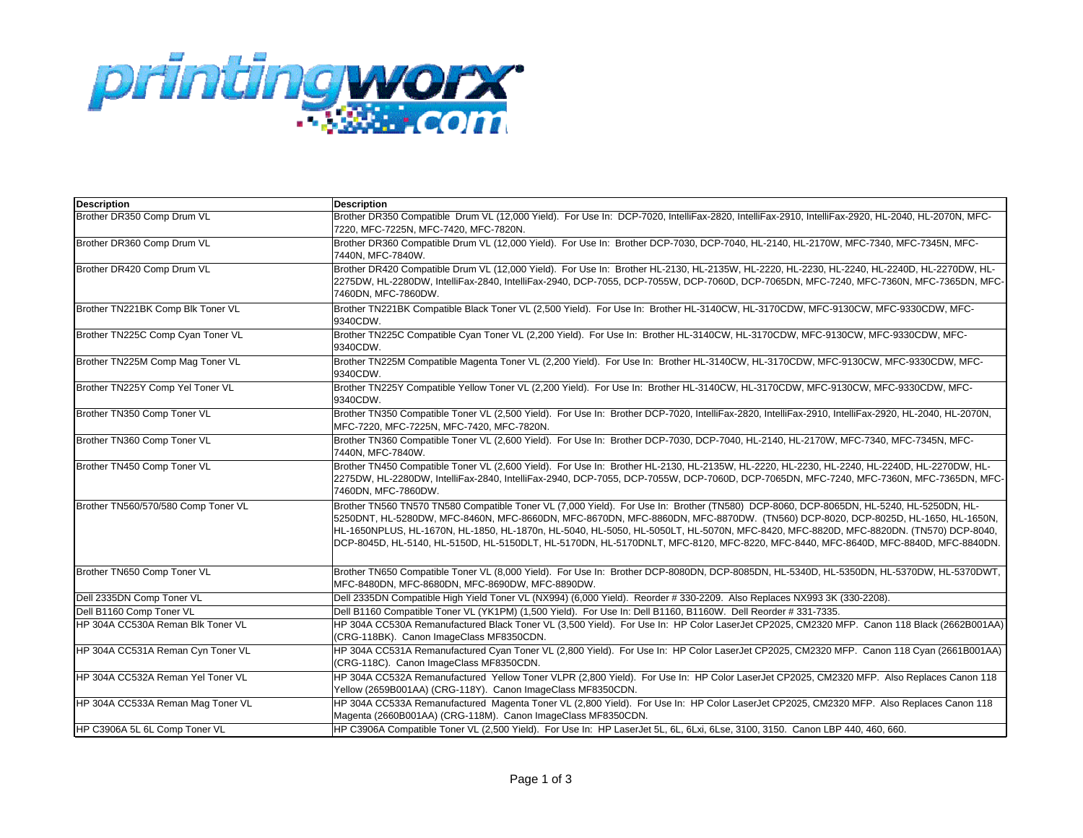

| <b>Description</b>                  | <b>Description</b>                                                                                                                                                                                                                                                                                                                                                                                                                                                                                                                                    |
|-------------------------------------|-------------------------------------------------------------------------------------------------------------------------------------------------------------------------------------------------------------------------------------------------------------------------------------------------------------------------------------------------------------------------------------------------------------------------------------------------------------------------------------------------------------------------------------------------------|
| Brother DR350 Comp Drum VL          | Brother DR350 Compatible Drum VL (12,000 Yield). For Use In: DCP-7020, IntelliFax-2820, IntelliFax-2910, IntelliFax-2920, HL-2040, HL-2070N, MFC-<br>7220, MFC-7225N, MFC-7420, MFC-7820N.                                                                                                                                                                                                                                                                                                                                                            |
| Brother DR360 Comp Drum VL          | Brother DR360 Compatible Drum VL (12,000 Yield). For Use In: Brother DCP-7030, DCP-7040, HL-2140, HL-2170W, MFC-7340, MFC-7345N, MFC-<br>7440N, MFC-7840W.                                                                                                                                                                                                                                                                                                                                                                                            |
| Brother DR420 Comp Drum VL          | Brother DR420 Compatible Drum VL (12,000 Yield). For Use In: Brother HL-2130, HL-2135W, HL-2220, HL-2230, HL-2240, HL-2240D, HL-2270DW, HL-<br>2275DW, HL-2280DW, IntelliFax-2840, IntelliFax-2940, DCP-7055, DCP-7055W, DCP-7060D, DCP-7065DN, MFC-7240, MFC-7360N, MFC-7365DN, MFC-<br>7460DN, MFC-7860DW.                                                                                                                                                                                                                                          |
| Brother TN221BK Comp Blk Toner VL   | Brother TN221BK Compatible Black Toner VL (2,500 Yield). For Use In: Brother HL-3140CW, HL-3170CDW, MFC-9130CW, MFC-9330CDW, MFC-<br>9340CDW.                                                                                                                                                                                                                                                                                                                                                                                                         |
| Brother TN225C Comp Cyan Toner VL   | Brother TN225C Compatible Cyan Toner VL (2.200 Yield). For Use In: Brother HL-3140CW, HL-3170CDW, MFC-9130CW, MFC-9330CDW, MFC-<br>9340CDW.                                                                                                                                                                                                                                                                                                                                                                                                           |
| Brother TN225M Comp Mag Toner VL    | Brother TN225M Compatible Magenta Toner VL (2,200 Yield). For Use In: Brother HL-3140CW, HL-3170CDW, MFC-9130CW, MFC-9330CDW, MFC-<br>9340CDW.                                                                                                                                                                                                                                                                                                                                                                                                        |
| Brother TN225Y Comp Yel Toner VL    | Brother TN225Y Compatible Yellow Toner VL (2,200 Yield). For Use In: Brother HL-3140CW, HL-3170CDW, MFC-9130CW, MFC-9330CDW, MFC-<br>9340CDW.                                                                                                                                                                                                                                                                                                                                                                                                         |
| Brother TN350 Comp Toner VL         | Brother TN350 Compatible Toner VL (2,500 Yield). For Use In: Brother DCP-7020, IntelliFax-2820, IntelliFax-2910, IntelliFax-2920, HL-2040, HL-2070N,<br>MFC-7220, MFC-7225N, MFC-7420, MFC-7820N.                                                                                                                                                                                                                                                                                                                                                     |
| Brother TN360 Comp Toner VL         | Brother TN360 Compatible Toner VL (2,600 Yield). For Use In: Brother DCP-7030, DCP-7040, HL-2140, HL-2170W, MFC-7340, MFC-7345N, MFC-<br>7440N, MFC-7840W.                                                                                                                                                                                                                                                                                                                                                                                            |
| Brother TN450 Comp Toner VL         | Brother TN450 Compatible Toner VL (2,600 Yield). For Use In: Brother HL-2130, HL-2135W, HL-2220, HL-2230, HL-2240, HL-2240D, HL-2270DW, HL-<br>2275DW, HL-2280DW, IntelliFax-2840, IntelliFax-2940, DCP-7055, DCP-7055W, DCP-7060D, DCP-7065DN, MFC-7240, MFC-7360N, MFC-7365DN, MFC-<br>7460DN, MFC-7860DW.                                                                                                                                                                                                                                          |
| Brother TN560/570/580 Comp Toner VL | Brother TN560 TN570 TN580 Compatible Toner VL (7,000 Yield). For Use In: Brother (TN580) DCP-8060, DCP-8065DN, HL-5240, HL-5250DN, HL-<br>5250DNT, HL-5280DW, MFC-8460N, MFC-8660DN, MFC-8670DN, MFC-8860DN, MFC-8870DW. (TN560) DCP-8020, DCP-8025D, HL-1650, HL-1650N,<br>HL-1650NPLUS, HL-1670N, HL-1850, HL-1870n, HL-5040, HL-5050, HL-5050LT, HL-5070N, MFC-8420, MFC-8820D, MFC-8820DN. (TN570) DCP-8040,<br>DCP-8045D, HL-5140, HL-5150D, HL-5150DLT, HL-5170DN, HL-5170DNLT, MFC-8120, MFC-8220, MFC-8440, MFC-8640D, MFC-8840D, MFC-8840DN. |
| Brother TN650 Comp Toner VL         | Brother TN650 Compatible Toner VL (8,000 Yield). For Use In: Brother DCP-8080DN, DCP-8085DN, HL-5340D, HL-5350DN, HL-5370DW, HL-5370DWT,<br>MFC-8480DN, MFC-8680DN, MFC-8690DW, MFC-8890DW.                                                                                                                                                                                                                                                                                                                                                           |
| Dell 2335DN Comp Toner VL           | Dell 2335DN Compatible High Yield Toner VL (NX994) (6,000 Yield). Reorder #330-2209. Also Replaces NX993 3K (330-2208).                                                                                                                                                                                                                                                                                                                                                                                                                               |
| Dell B1160 Comp Toner VL            | Dell B1160 Compatible Toner VL (YK1PM) (1,500 Yield). For Use In: Dell B1160, B1160W. Dell Reorder #331-7335.                                                                                                                                                                                                                                                                                                                                                                                                                                         |
| HP 304A CC530A Reman Blk Toner VL   | HP 304A CC530A Remanufactured Black Toner VL (3,500 Yield). For Use In: HP Color LaserJet CP2025, CM2320 MFP. Canon 118 Black (2662B001AA)<br>(CRG-118BK). Canon ImageClass MF8350CDN.                                                                                                                                                                                                                                                                                                                                                                |
| HP 304A CC531A Reman Cyn Toner VL   | HP 304A CC531A Remanufactured Cyan Toner VL (2,800 Yield). For Use In: HP Color LaserJet CP2025, CM2320 MFP. Canon 118 Cyan (2661B001AA)<br>(CRG-118C). Canon ImageClass MF8350CDN.                                                                                                                                                                                                                                                                                                                                                                   |
| HP 304A CC532A Reman Yel Toner VL   | HP 304A CC532A Remanufactured Yellow Toner VLPR (2,800 Yield). For Use In: HP Color LaserJet CP2025, CM2320 MFP. Also Replaces Canon 118<br>Yellow (2659B001AA) (CRG-118Y). Canon ImageClass MF8350CDN.                                                                                                                                                                                                                                                                                                                                               |
| HP 304A CC533A Reman Mag Toner VL   | HP 304A CC533A Remanufactured Magenta Toner VL (2.800 Yield). For Use In: HP Color LaserJet CP2025, CM2320 MFP. Also Replaces Canon 118<br>Magenta (2660B001AA) (CRG-118M). Canon ImageClass MF8350CDN.                                                                                                                                                                                                                                                                                                                                               |
| HP C3906A 5L 6L Comp Toner VL       | HP C3906A Compatible Toner VL (2,500 Yield). For Use In: HP LaserJet 5L, 6L, 6Lxi, 6Lse, 3100, 3150. Canon LBP 440, 460, 660.                                                                                                                                                                                                                                                                                                                                                                                                                         |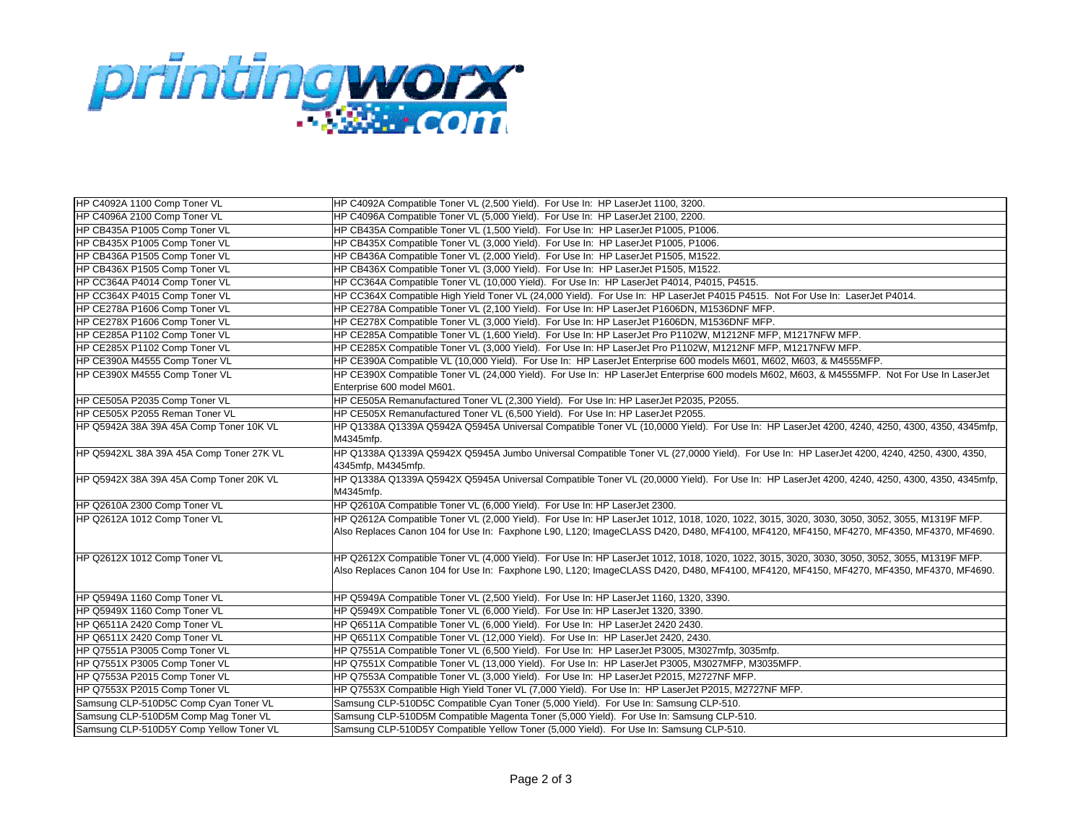

| HP C4092A 1100 Comp Toner VL             | HP C4092A Compatible Toner VL (2,500 Yield). For Use In: HP LaserJet 1100, 3200.                                                                                                                                                                                                       |
|------------------------------------------|----------------------------------------------------------------------------------------------------------------------------------------------------------------------------------------------------------------------------------------------------------------------------------------|
| HP C4096A 2100 Comp Toner VL             | HP C4096A Compatible Toner VL (5,000 Yield). For Use In: HP LaserJet 2100, 2200.                                                                                                                                                                                                       |
| HP CB435A P1005 Comp Toner VL            | HP CB435A Compatible Toner VL (1,500 Yield). For Use In: HP LaserJet P1005, P1006.                                                                                                                                                                                                     |
| HP CB435X P1005 Comp Toner VL            | HP CB435X Compatible Toner VL (3,000 Yield). For Use In: HP LaserJet P1005, P1006.                                                                                                                                                                                                     |
| HP CB436A P1505 Comp Toner VL            | HP CB436A Compatible Toner VL (2,000 Yield). For Use In: HP LaserJet P1505, M1522.                                                                                                                                                                                                     |
| HP CB436X P1505 Comp Toner VL            | HP CB436X Compatible Toner VL (3,000 Yield). For Use In: HP LaserJet P1505, M1522.                                                                                                                                                                                                     |
| HP CC364A P4014 Comp Toner VL            | HP CC364A Compatible Toner VL (10,000 Yield). For Use In: HP LaserJet P4014, P4015, P4515.                                                                                                                                                                                             |
| HP CC364X P4015 Comp Toner VL            | HP CC364X Compatible High Yield Toner VL (24,000 Yield). For Use In: HP LaserJet P4015 P4515. Not For Use In: LaserJet P4014.                                                                                                                                                          |
| HP CE278A P1606 Comp Toner VL            | HP CE278A Compatible Toner VL (2,100 Yield). For Use In: HP LaserJet P1606DN, M1536DNF MFP.                                                                                                                                                                                            |
| HP CE278X P1606 Comp Toner VL            | HP CE278X Compatible Toner VL (3,000 Yield). For Use In: HP LaserJet P1606DN, M1536DNF MFP.                                                                                                                                                                                            |
| HP CE285A P1102 Comp Toner VL            | HP CE285A Compatible Toner VL (1.600 Yield). For Use In: HP LaserJet Pro P1102W, M1212NF MFP, M1217NFW MFP.                                                                                                                                                                            |
| HP CE285X P1102 Comp Toner VL            | HP CE285X Compatible Toner VL (3,000 Yield). For Use In: HP LaserJet Pro P1102W, M1212NF MFP, M1217NFW MFP.                                                                                                                                                                            |
| HP CE390A M4555 Comp Toner VL            | HP CE390A Compatible VL (10,000 Yield). For Use In: HP LaserJet Enterprise 600 models M601, M602, M603, & M4555MFP.                                                                                                                                                                    |
| HP CE390X M4555 Comp Toner VL            | HP CE390X Compatible Toner VL (24,000 Yield). For Use In: HP LaserJet Enterprise 600 models M602, M603, & M4555MFP. Not For Use In LaserJet<br>Enterprise 600 model M601.                                                                                                              |
| HP CE505A P2035 Comp Toner VL            | HP CE505A Remanufactured Toner VL (2,300 Yield). For Use In: HP LaserJet P2035, P2055.                                                                                                                                                                                                 |
| HP CE505X P2055 Reman Toner VL           | HP CE505X Remanufactured Toner VL (6,500 Yield). For Use In: HP LaserJet P2055.                                                                                                                                                                                                        |
| HP Q5942A 38A 39A 45A Comp Toner 10K VL  | HP Q1338A Q1339A Q5942A Q5945A Universal Compatible Toner VL (10,0000 Yield). For Use In: HP LaserJet 4200, 4240, 4250, 4300, 4350, 4345mfp,<br>M4345mfp.                                                                                                                              |
| HP Q5942XL 38A 39A 45A Comp Toner 27K VL | HP Q1338A Q1339A Q5942X Q5945A Jumbo Universal Compatible Toner VL (27,0000 Yield). For Use In: HP LaserJet 4200, 4240, 4250, 4300, 4350,<br>4345mfp, M4345mfp.                                                                                                                        |
| HP Q5942X 38A 39A 45A Comp Toner 20K VL  | HP Q1338A Q1339A Q5942X Q5945A Universal Compatible Toner VL (20,0000 Yield). For Use In: HP LaserJet 4200, 4240, 4250, 4300, 4350, 4345mfp,<br>M4345mfp.                                                                                                                              |
| HP Q2610A 2300 Comp Toner VL             | HP Q2610A Compatible Toner VL (6,000 Yield). For Use In: HP LaserJet 2300.                                                                                                                                                                                                             |
| HP Q2612A 1012 Comp Toner VL             | HP Q2612A Compatible Toner VL (2,000 Yield). For Use In: HP LaserJet 1012, 1018, 1020, 1022, 3015, 3020, 3030, 3050, 3050, 3055, M1319F MFP.<br>Also Replaces Canon 104 for Use In: Faxphone L90, L120; ImageCLASS D420, D480, MF4100, MF4120, MF4150, MF4270, MF4350, MF4370, MF4690. |
| HP Q2612X 1012 Comp Toner VL             | HP Q2612X Compatible Toner VL (4,000 Yield). For Use In: HP LaserJet 1012, 1018, 1020, 1022, 3015, 3020, 3030, 3050, 3052, 3055, M1319F MFP.<br>Also Replaces Canon 104 for Use In: Faxphone L90, L120; ImageCLASS D420, D480, MF4100, MF4120, MF4150, MF4270, MF4350, MF4370, MF4690. |
| HP Q5949A 1160 Comp Toner VL             | HP Q5949A Compatible Toner VL (2,500 Yield). For Use In: HP LaserJet 1160, 1320, 3390.                                                                                                                                                                                                 |
| HP Q5949X 1160 Comp Toner VL             | HP Q5949X Compatible Toner VL (6,000 Yield). For Use In: HP LaserJet 1320, 3390.                                                                                                                                                                                                       |
| HP Q6511A 2420 Comp Toner VL             | HP Q6511A Compatible Toner VL (6,000 Yield). For Use In: HP LaserJet 2420 2430.                                                                                                                                                                                                        |
| HP Q6511X 2420 Comp Toner VL             | HP Q6511X Compatible Toner VL (12,000 Yield). For Use In: HP LaserJet 2420, 2430.                                                                                                                                                                                                      |
| HP Q7551A P3005 Comp Toner VL            | HP Q7551A Compatible Toner VL (6,500 Yield). For Use In: HP LaserJet P3005, M3027mfp, 3035mfp.                                                                                                                                                                                         |
| HP Q7551X P3005 Comp Toner VL            | HP Q7551X Compatible Toner VL (13,000 Yield). For Use In: HP LaserJet P3005, M3027MFP, M3035MFP.                                                                                                                                                                                       |
| HP Q7553A P2015 Comp Toner VL            | HP Q7553A Compatible Toner VL (3,000 Yield). For Use In: HP LaserJet P2015, M2727NF MFP.                                                                                                                                                                                               |
| HP Q7553X P2015 Comp Toner VL            | HP Q7553X Compatible High Yield Toner VL (7,000 Yield). For Use In: HP LaserJet P2015, M2727NF MFP.                                                                                                                                                                                    |
| Samsung CLP-510D5C Comp Cyan Toner VL    | Samsung CLP-510D5C Compatible Cyan Toner (5,000 Yield). For Use In: Samsung CLP-510.                                                                                                                                                                                                   |
| Samsung CLP-510D5M Comp Mag Toner VL     | Samsung CLP-510D5M Compatible Magenta Toner (5,000 Yield). For Use In: Samsung CLP-510.                                                                                                                                                                                                |
| Samsung CLP-510D5Y Comp Yellow Toner VL  | Samsung CLP-510D5Y Compatible Yellow Toner (5,000 Yield). For Use In: Samsung CLP-510.                                                                                                                                                                                                 |